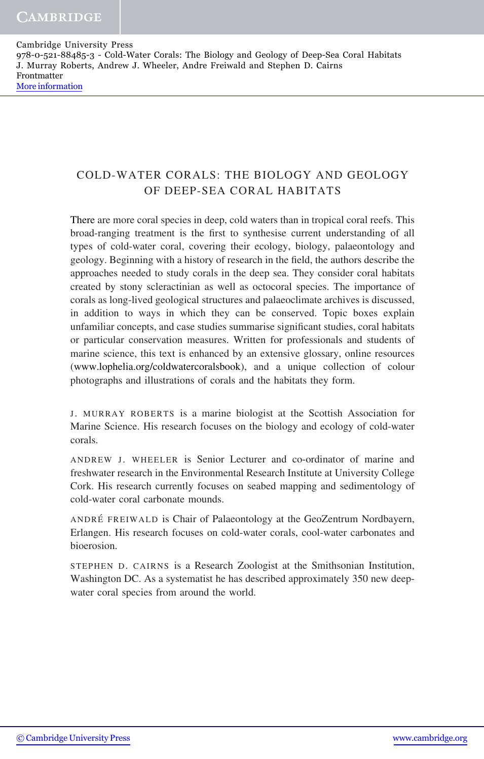## COLD-WATER CORALS: THE BIOLOGY AND GEOLOGY OF DEEP-SEA CORAL HABITATS

There are more coral species in deep, cold waters than in tropical coral reefs. This broad-ranging treatment is the first to synthesise current understanding of all types of cold-water coral, covering their ecology, biology, palaeontology and geology. Beginning with a history of research in the field, the authors describe the approaches needed to study corals in the deep sea. They consider coral habitats created by stony scleractinian as well as octocoral species. The importance of corals as long-lived geological structures and palaeoclimate archives is discussed, in addition to ways in which they can be conserved. Topic boxes explain unfamiliar concepts, and case studies summarise significant studies, coral habitats or particular conservation measures. Written for professionals and students of marine science, this text is enhanced by an extensive glossary, online resources (www.lophelia.org/coldwatercoralsbook), and a unique collection of colour photographs and illustrations of corals and the habitats they form.

j. murray roberts is a marine biologist at the Scottish Association for Marine Science. His research focuses on the biology and ecology of cold-water corals.

ANDREW J. WHEELER is Senior Lecturer and co-ordinator of marine and freshwater research in the Environmental Research Institute at University College Cork. His research currently focuses on seabed mapping and sedimentology of cold-water coral carbonate mounds.

ANDRÉ FREIWALD is Chair of Palaeontology at the GeoZentrum Nordbayern, Erlangen. His research focuses on cold-water corals, cool-water carbonates and bioerosion.

STEPHEN D. CAIRNS is a Research Zoologist at the Smithsonian Institution, Washington DC. As a systematist he has described approximately 350 new deepwater coral species from around the world.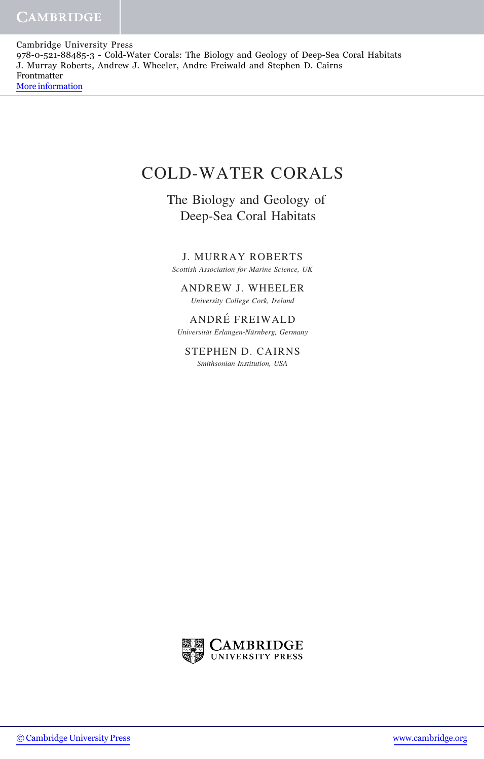# COLD-WATER CORALS

The Biology and Geology of Deep-Sea Coral Habitats

J. MURRAY ROBERTS

Scottish Association for Marine Science, UK

ANDREW J. WHEELER University College Cork, Ireland

ANDRE´ FREIWALD Universität Erlangen-Nürnberg, Germany

STEPHEN D. CAIRNS Smithsonian Institution, USA

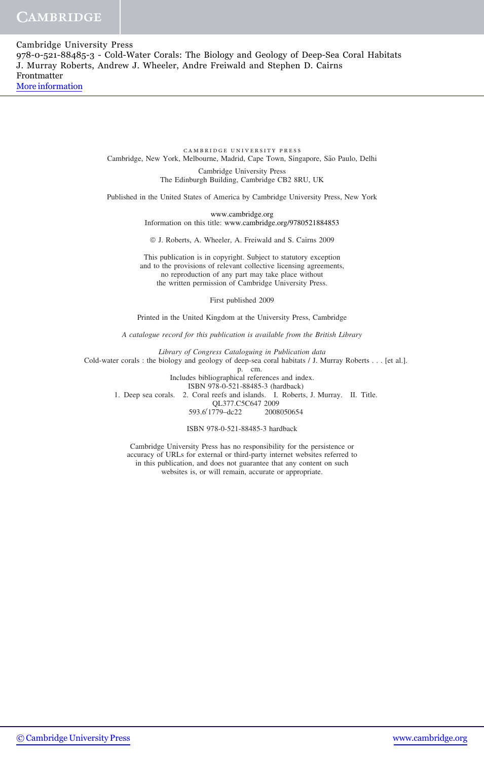> cambridge university press Cambridge, New York, Melbourne, Madrid, Cape Town, Singapore, São Paulo, Delhi Cambridge University Press The Edinburgh Building, Cambridge CB2 8RU, UK

> Published in the United States of America by Cambridge University Press, New York

www.cambridge.org Information on this title: www.cambridge.org/9780521884853

ª J. Roberts, A. Wheeler, A. Freiwald and S. Cairns 2009

This publication is in copyright. Subject to statutory exception and to the provisions of relevant collective licensing agreements, no reproduction of any part may take place without the written permission of Cambridge University Press.

First published 2009

Printed in the United Kingdom at the University Press, Cambridge

A catalogue record for this publication is available from the British Library

Library of Congress Cataloguing in Publication data Cold-water corals : the biology and geology of deep-sea coral habitats / J. Murray Roberts . . . [et al.]. p. cm. Includes bibliographical references and index.

ISBN 978-0-521-88485-3 (hardback) 1. Deep sea corals. 2. Coral reefs and islands. I. Roberts, J. Murray. II. Title. QL377.C5C647 2009 593.6'1779-dc22 2008050654

ISBN 978-0-521-88485-3 hardback

Cambridge University Press has no responsibility for the persistence or accuracy of URLs for external or third-party internet websites referred to in this publication, and does not guarantee that any content on such websites is, or will remain, accurate or appropriate.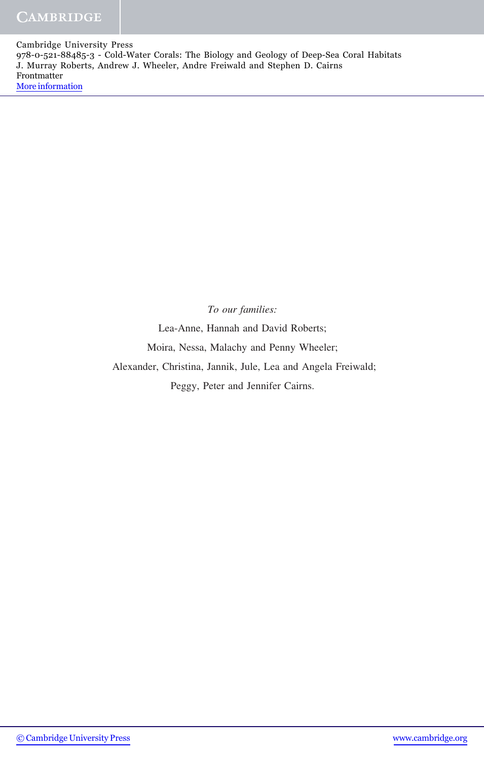To our families:

Lea-Anne, Hannah and David Roberts; Moira, Nessa, Malachy and Penny Wheeler; Alexander, Christina, Jannik, Jule, Lea and Angela Freiwald; Peggy, Peter and Jennifer Cairns.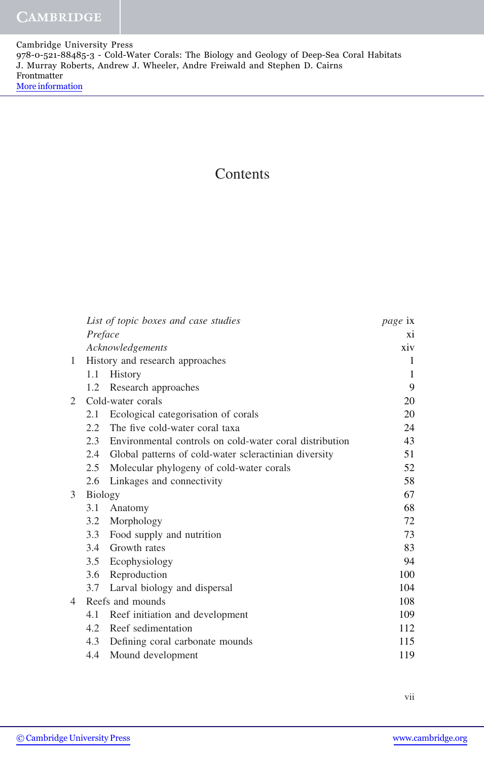## Contents

|              |                                 | List of topic boxes and case studies                        |              |  |
|--------------|---------------------------------|-------------------------------------------------------------|--------------|--|
|              | Preface                         |                                                             | xi           |  |
|              |                                 | Acknowledgements                                            | xiv          |  |
| $\mathbf{1}$ | History and research approaches | 1                                                           |              |  |
|              | 1.1                             | History                                                     | $\mathbf{1}$ |  |
|              | 1.2                             | Research approaches                                         | 9            |  |
| 2            |                                 | Cold-water corals                                           | 20           |  |
|              | 2.1                             | Ecological categorisation of corals                         | 20           |  |
|              |                                 | 2.2 The five cold-water coral taxa                          | 24           |  |
|              |                                 | 2.3 Environmental controls on cold-water coral distribution | 43           |  |
|              |                                 | 2.4 Global patterns of cold-water scleractinian diversity   | 51           |  |
|              | 2.5                             | Molecular phylogeny of cold-water corals                    | 52           |  |
|              | 2.6                             | Linkages and connectivity                                   | 58           |  |
| 3            | Biology                         |                                                             | 67           |  |
|              | 3.1                             | Anatomy                                                     | 68           |  |
|              | 3.2                             | Morphology                                                  | 72           |  |
|              | 3.3                             | Food supply and nutrition                                   | 73           |  |
|              |                                 | 3.4 Growth rates                                            | 83           |  |
|              |                                 | 3.5 Ecophysiology                                           | 94           |  |
|              | 3.6                             | Reproduction                                                | 100          |  |
|              | 3.7                             | Larval biology and dispersal                                | 104          |  |
| 4            |                                 | Reefs and mounds                                            | 108          |  |
|              | 4.1                             | Reef initiation and development                             | 109          |  |
|              |                                 | 4.2 Reef sedimentation                                      | 112          |  |
|              |                                 | 4.3 Defining coral carbonate mounds                         | 115          |  |
|              | 4.4                             | Mound development                                           | 119          |  |
|              |                                 |                                                             |              |  |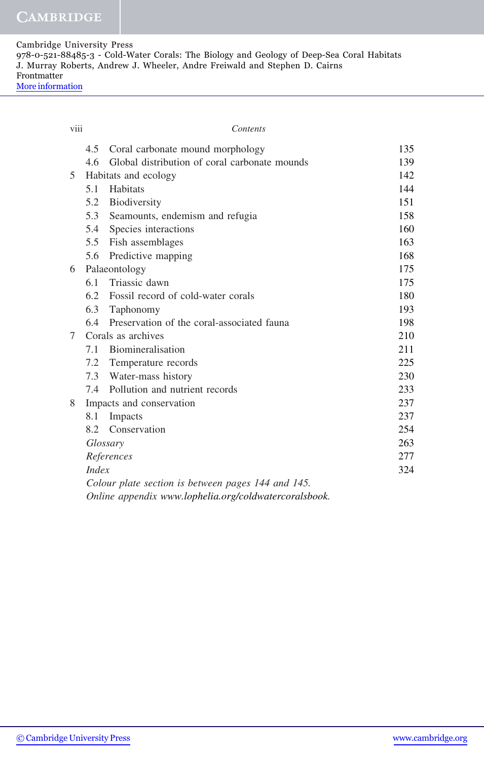| viii   | Contents                                             |     |
|--------|------------------------------------------------------|-----|
|        | 4.5 Coral carbonate mound morphology                 | 135 |
|        | Global distribution of coral carbonate mounds<br>4.6 | 139 |
| 5      | Habitats and ecology                                 | 142 |
|        | Habitats<br>5.1                                      | 144 |
|        | Biodiversity<br>5.2                                  | 151 |
|        | Seamounts, endemism and refugia<br>5.3               | 158 |
|        | Species interactions<br>5.4                          | 160 |
|        | 5.5 Fish assemblages                                 | 163 |
|        | 5.6<br>Predictive mapping                            | 168 |
| 6      | Palaeontology                                        | 175 |
|        | Triassic dawn<br>6.1                                 | 175 |
|        | Fossil record of cold-water corals<br>6.2            | 180 |
|        | 6.3<br>Taphonomy                                     | 193 |
|        | Preservation of the coral-associated fauna<br>6.4    | 198 |
| $\tau$ | Corals as archives                                   | 210 |
|        | Biomineralisation<br>7.1                             | 211 |
|        | 7.2 Temperature records                              | 225 |
|        | 7.3 Water-mass history                               | 230 |
|        | Pollution and nutrient records<br>7.4                | 233 |
| 8      | Impacts and conservation                             | 237 |
|        | 8.1<br>Impacts                                       | 237 |
|        | 8.2 Conservation                                     | 254 |
|        | Glossary                                             | 263 |
|        | References                                           | 277 |
|        | Index                                                | 324 |
|        | Colour plate section is between pages 144 and 145.   |     |

Online appendix www.lophelia.org/coldwatercoralsbook.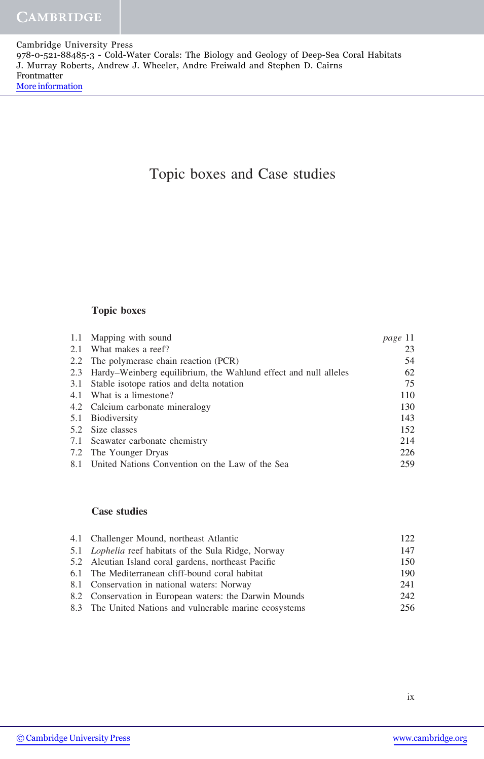# Topic boxes and Case studies

### Topic boxes

| 1.1 Mapping with sound                                              | page 11 |
|---------------------------------------------------------------------|---------|
| 2.1 What makes a reef?                                              | 23      |
| 2.2 The polymerase chain reaction (PCR)                             | 54      |
| 2.3 Hardy–Weinberg equilibrium, the Wahlund effect and null alleles | 62      |
| 3.1 Stable isotope ratios and delta notation                        | 75      |
| 4.1 What is a limestone?                                            | 110     |
| 4.2 Calcium carbonate mineralogy                                    | 130     |
| 5.1 Biodiversity                                                    | 143     |
| 5.2 Size classes                                                    | 152     |
| 7.1 Seawater carbonate chemistry                                    | 214     |
| 7.2 The Younger Dryas                                               | 226     |
| 8.1 United Nations Convention on the Law of the Sea                 | 259     |

### Case studies

| 4.1 Challenger Mound, northeast Atlantic                    | 122 |
|-------------------------------------------------------------|-----|
| 5.1 <i>Lophelia</i> reef habitats of the Sula Ridge, Norway | 147 |
| 5.2 Aleutian Island coral gardens, northeast Pacific        | 150 |
| 6.1 The Mediterranean cliff-bound coral habitat             | 190 |
| 8.1 Conservation in national waters: Norway                 | 241 |
| 8.2 Conservation in European waters: the Darwin Mounds      | 242 |
| 8.3 The United Nations and vulnerable marine ecosystems     | 256 |
|                                                             |     |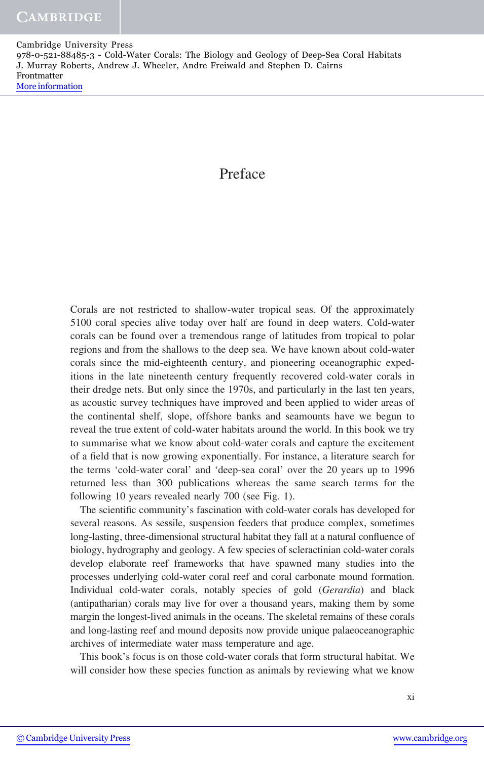## Preface

Corals are not restricted to shallow-water tropical seas. Of the approximately 5100 coral species alive today over half are found in deep waters. Cold-water corals can be found over a tremendous range of latitudes from tropical to polar regions and from the shallows to the deep sea. We have known about cold-water corals since the mid-eighteenth century, and pioneering oceanographic expeditions in the late nineteenth century frequently recovered cold-water corals in their dredge nets. But only since the 1970s, and particularly in the last ten years, as acoustic survey techniques have improved and been applied to wider areas of the continental shelf, slope, offshore banks and seamounts have we begun to reveal the true extent of cold-water habitats around the world. In this book we try to summarise what we know about cold-water corals and capture the excitement of a field that is now growing exponentially. For instance, a literature search for the terms 'cold-water coral' and 'deep-sea coral' over the 20 years up to 1996 returned less than 300 publications whereas the same search terms for the following 10 years revealed nearly 700 (see Fig. 1).

The scientific community's fascination with cold-water corals has developed for several reasons. As sessile, suspension feeders that produce complex, sometimes long-lasting, three-dimensional structural habitat they fall at a natural confluence of biology, hydrography and geology. A few species of scleractinian cold-water corals develop elaborate reef frameworks that have spawned many studies into the processes underlying cold-water coral reef and coral carbonate mound formation. Individual cold-water corals, notably species of gold (Gerardia) and black (antipatharian) corals may live for over a thousand years, making them by some margin the longest-lived animals in the oceans. The skeletal remains of these corals and long-lasting reef and mound deposits now provide unique palaeoceanographic archives of intermediate water mass temperature and age.

This book's focus is on those cold-water corals that form structural habitat. We will consider how these species function as animals by reviewing what we know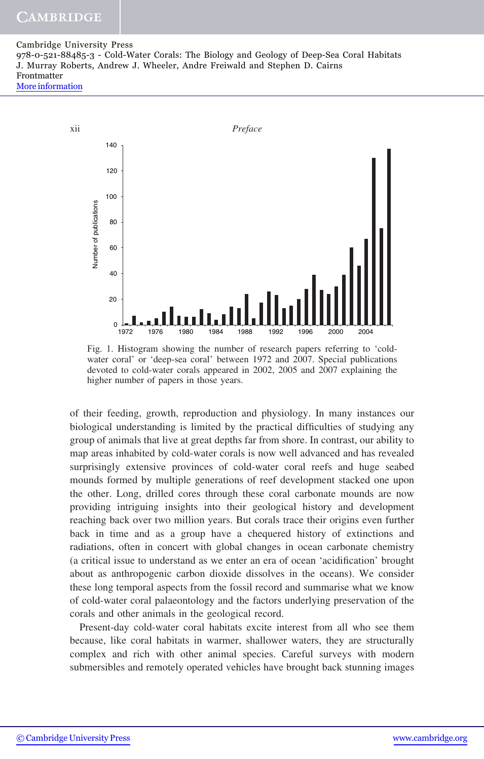

Fig. 1. Histogram showing the number of research papers referring to 'coldwater coral' or 'deep-sea coral' between 1972 and 2007. Special publications devoted to cold-water corals appeared in 2002, 2005 and 2007 explaining the higher number of papers in those years.

of their feeding, growth, reproduction and physiology. In many instances our biological understanding is limited by the practical difficulties of studying any group of animals that live at great depths far from shore. In contrast, our ability to map areas inhabited by cold-water corals is now well advanced and has revealed surprisingly extensive provinces of cold-water coral reefs and huge seabed mounds formed by multiple generations of reef development stacked one upon the other. Long, drilled cores through these coral carbonate mounds are now providing intriguing insights into their geological history and development reaching back over two million years. But corals trace their origins even further back in time and as a group have a chequered history of extinctions and radiations, often in concert with global changes in ocean carbonate chemistry (a critical issue to understand as we enter an era of ocean 'acidification' brought about as anthropogenic carbon dioxide dissolves in the oceans). We consider these long temporal aspects from the fossil record and summarise what we know of cold-water coral palaeontology and the factors underlying preservation of the corals and other animals in the geological record.

Present-day cold-water coral habitats excite interest from all who see them because, like coral habitats in warmer, shallower waters, they are structurally complex and rich with other animal species. Careful surveys with modern submersibles and remotely operated vehicles have brought back stunning images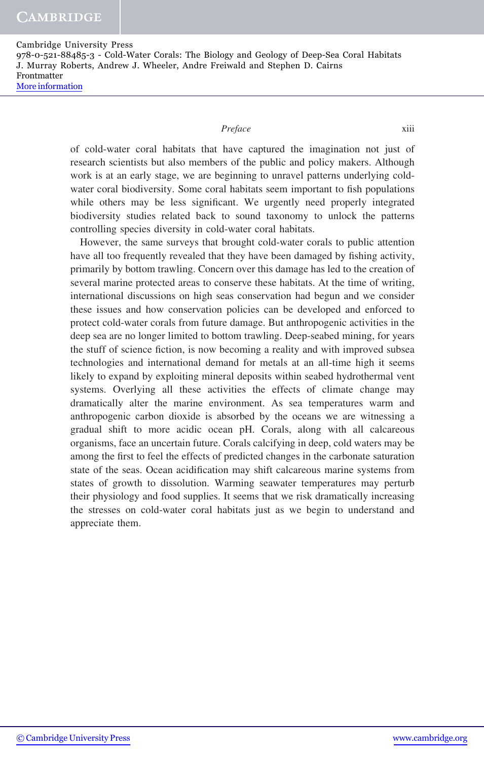#### Preface xiii

of cold-water coral habitats that have captured the imagination not just of research scientists but also members of the public and policy makers. Although work is at an early stage, we are beginning to unravel patterns underlying coldwater coral biodiversity. Some coral habitats seem important to fish populations while others may be less significant. We urgently need properly integrated biodiversity studies related back to sound taxonomy to unlock the patterns controlling species diversity in cold-water coral habitats.

However, the same surveys that brought cold-water corals to public attention have all too frequently revealed that they have been damaged by fishing activity, primarily by bottom trawling. Concern over this damage has led to the creation of several marine protected areas to conserve these habitats. At the time of writing, international discussions on high seas conservation had begun and we consider these issues and how conservation policies can be developed and enforced to protect cold-water corals from future damage. But anthropogenic activities in the deep sea are no longer limited to bottom trawling. Deep-seabed mining, for years the stuff of science fiction, is now becoming a reality and with improved subsea technologies and international demand for metals at an all-time high it seems likely to expand by exploiting mineral deposits within seabed hydrothermal vent systems. Overlying all these activities the effects of climate change may dramatically alter the marine environment. As sea temperatures warm and anthropogenic carbon dioxide is absorbed by the oceans we are witnessing a gradual shift to more acidic ocean pH. Corals, along with all calcareous organisms, face an uncertain future. Corals calcifying in deep, cold waters may be among the first to feel the effects of predicted changes in the carbonate saturation state of the seas. Ocean acidification may shift calcareous marine systems from states of growth to dissolution. Warming seawater temperatures may perturb their physiology and food supplies. It seems that we risk dramatically increasing the stresses on cold-water coral habitats just as we begin to understand and appreciate them.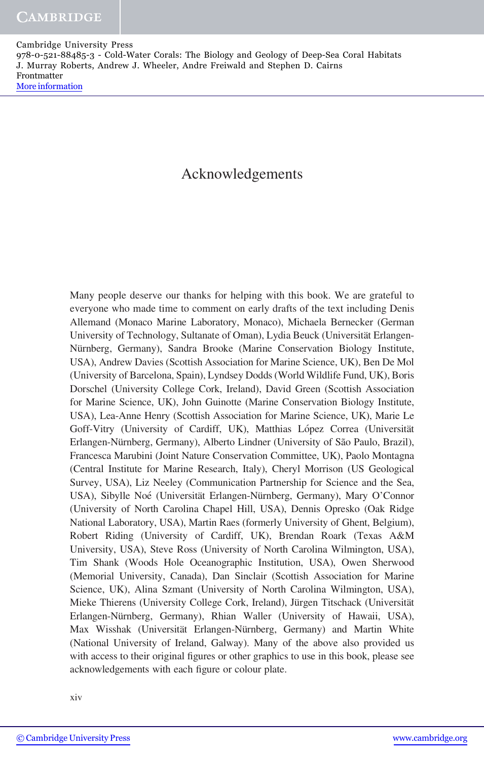## Acknowledgements

Many people deserve our thanks for helping with this book. We are grateful to everyone who made time to comment on early drafts of the text including Denis Allemand (Monaco Marine Laboratory, Monaco), Michaela Bernecker (German University of Technology, Sultanate of Oman), Lydia Beuck (Universität Erlangen-Nürnberg, Germany), Sandra Brooke (Marine Conservation Biology Institute, USA), Andrew Davies (Scottish Association for Marine Science, UK), Ben De Mol (University of Barcelona, Spain), Lyndsey Dodds (World Wildlife Fund, UK), Boris Dorschel (University College Cork, Ireland), David Green (Scottish Association for Marine Science, UK), John Guinotte (Marine Conservation Biology Institute, USA), Lea-Anne Henry (Scottish Association for Marine Science, UK), Marie Le Goff-Vitry (University of Cardiff, UK), Matthias López Correa (Universität Erlangen-Nürnberg, Germany), Alberto Lindner (University of São Paulo, Brazil), Francesca Marubini (Joint Nature Conservation Committee, UK), Paolo Montagna (Central Institute for Marine Research, Italy), Cheryl Morrison (US Geological Survey, USA), Liz Neeley (Communication Partnership for Science and the Sea, USA), Sibylle Noé (Universität Erlangen-Nürnberg, Germany), Mary O'Connor (University of North Carolina Chapel Hill, USA), Dennis Opresko (Oak Ridge National Laboratory, USA), Martin Raes (formerly University of Ghent, Belgium), Robert Riding (University of Cardiff, UK), Brendan Roark (Texas A&M University, USA), Steve Ross (University of North Carolina Wilmington, USA), Tim Shank (Woods Hole Oceanographic Institution, USA), Owen Sherwood (Memorial University, Canada), Dan Sinclair (Scottish Association for Marine Science, UK), Alina Szmant (University of North Carolina Wilmington, USA), Mieke Thierens (University College Cork, Ireland), Jürgen Titschack (Universität Erlangen-Nürnberg, Germany), Rhian Waller (University of Hawaii, USA), Max Wisshak (Universität Erlangen-Nürnberg, Germany) and Martin White (National University of Ireland, Galway). Many of the above also provided us with access to their original figures or other graphics to use in this book, please see acknowledgements with each figure or colour plate.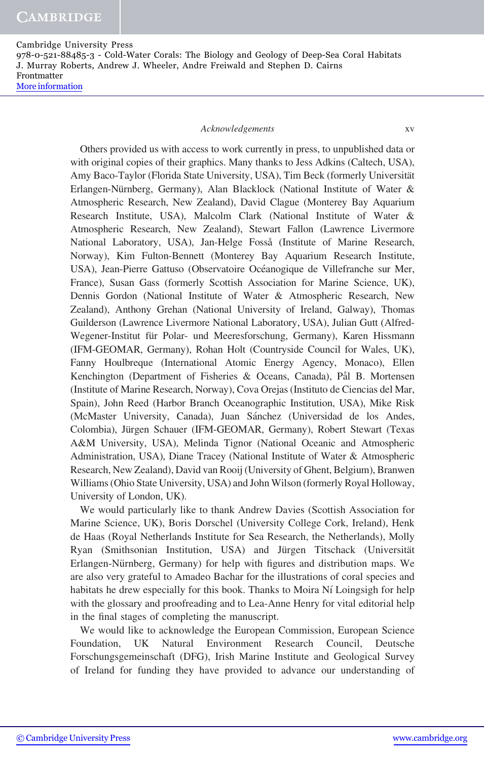#### Acknowledgements xv

Others provided us with access to work currently in press, to unpublished data or with original copies of their graphics. Many thanks to Jess Adkins (Caltech, USA), Amy Baco-Taylor (Florida State University, USA), Tim Beck (formerly Universität Erlangen-Nürnberg, Germany), Alan Blacklock (National Institute of Water & Atmospheric Research, New Zealand), David Clague (Monterey Bay Aquarium Research Institute, USA), Malcolm Clark (National Institute of Water & Atmospheric Research, New Zealand), Stewart Fallon (Lawrence Livermore National Laboratory, USA), Jan-Helge Fosså (Institute of Marine Research, Norway), Kim Fulton-Bennett (Monterey Bay Aquarium Research Institute, USA), Jean-Pierre Gattuso (Observatoire Océanogique de Villefranche sur Mer, France), Susan Gass (formerly Scottish Association for Marine Science, UK), Dennis Gordon (National Institute of Water & Atmospheric Research, New Zealand), Anthony Grehan (National University of Ireland, Galway), Thomas Guilderson (Lawrence Livermore National Laboratory, USA), Julian Gutt (Alfred-Wegener-Institut für Polar- und Meeresforschung, Germany), Karen Hissmann (IFM-GEOMAR, Germany), Rohan Holt (Countryside Council for Wales, UK), Fanny Houlbreque (International Atomic Energy Agency, Monaco), Ellen Kenchington (Department of Fisheries & Oceans, Canada), Pål B. Mortensen (Institute of Marine Research, Norway), Cova Orejas (Instituto de Ciencias del Mar, Spain), John Reed (Harbor Branch Oceanographic Institution, USA), Mike Risk (McMaster University, Canada), Juan Sánchez (Universidad de los Andes, Colombia), Jürgen Schauer (IFM-GEOMAR, Germany), Robert Stewart (Texas A&M University, USA), Melinda Tignor (National Oceanic and Atmospheric Administration, USA), Diane Tracey (National Institute of Water & Atmospheric Research, New Zealand), David van Rooij (University of Ghent, Belgium), Branwen Williams (Ohio State University, USA) and John Wilson (formerly Royal Holloway, University of London, UK).

We would particularly like to thank Andrew Davies (Scottish Association for Marine Science, UK), Boris Dorschel (University College Cork, Ireland), Henk de Haas (Royal Netherlands Institute for Sea Research, the Netherlands), Molly Ryan (Smithsonian Institution, USA) and Jürgen Titschack (Universität Erlangen-Nürnberg, Germany) for help with figures and distribution maps. We are also very grateful to Amadeo Bachar for the illustrations of coral species and habitats he drew especially for this book. Thanks to Moira Ní Loingsigh for help with the glossary and proofreading and to Lea-Anne Henry for vital editorial help in the final stages of completing the manuscript.

We would like to acknowledge the European Commission, European Science Foundation, UK Natural Environment Research Council, Deutsche Forschungsgemeinschaft (DFG), Irish Marine Institute and Geological Survey of Ireland for funding they have provided to advance our understanding of